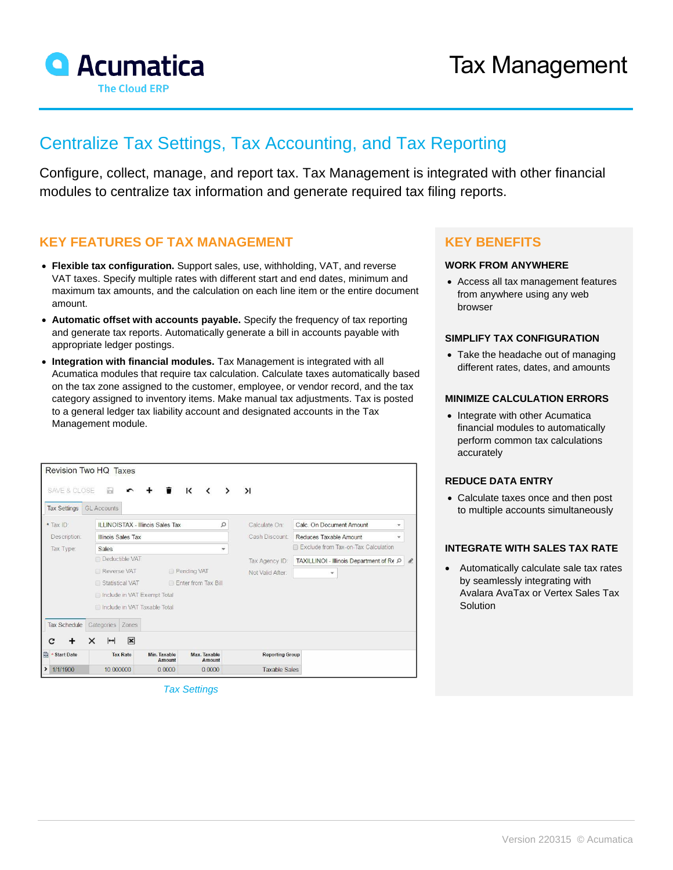

# Centralize Tax Settings, Tax Accounting, and Tax Reporting

Configure, collect, manage, and report tax. Tax Management is integrated with other financial modules to centralize tax information and generate required tax filing reports.

### **KEY FEATURES OF TAX MANAGEMENT**

- **Flexible tax configuration.** Support sales, use, withholding, VAT, and reverse VAT taxes. Specify multiple rates with different start and end dates, minimum and maximum tax amounts, and the calculation on each line item or the entire document amount.
- **Automatic offset with accounts payable.** Specify the frequency of tax reporting and generate tax reports. Automatically generate a bill in accounts payable with appropriate ledger postings.
- **Integration with financial modules.** Tax Management is integrated with all Acumatica modules that require tax calculation. Calculate taxes automatically based on the tax zone assigned to the customer, employee, or vendor record, and the tax category assigned to inventory items. Make manual tax adjustments. Tax is posted to a general ledger tax liability account and designated accounts in the Tax Management module.

| Revision Two HQ Taxes                          |                                                                         |                                         |                        |                        |                                               |  |  |  |  |  |  |
|------------------------------------------------|-------------------------------------------------------------------------|-----------------------------------------|------------------------|------------------------|-----------------------------------------------|--|--|--|--|--|--|
| <b>SAVE &amp; CLOSE</b><br><b>Tax Settings</b> | ₩<br><b>GL Accounts</b>                                                 |                                         | К                      | $\lambda$              |                                               |  |  |  |  |  |  |
| * Tax ID:                                      |                                                                         | <b>ILLINOISTAX - Illinois Sales Tax</b> | Q                      | Calculate On:          | Calc, On Document Amount                      |  |  |  |  |  |  |
| Description:                                   | <b>Illinois Sales Tax</b>                                               |                                         |                        | Cash Discount:         | Reduces Taxable Amount<br>$\mathbf{v}$        |  |  |  |  |  |  |
| Tax Type:                                      | <b>Sales</b><br>$\overline{\phantom{a}}$                                |                                         |                        |                        | Exclude from Tax-on-Tax Calculation           |  |  |  |  |  |  |
|                                                | Deductible VAT                                                          |                                         |                        | Tax Agency ID:         | TAXILLINOI - Illinois Department of RE P<br>£ |  |  |  |  |  |  |
|                                                | Reverse VAT<br>Pending VAT                                              |                                         |                        | Not Valid After:       | ۰                                             |  |  |  |  |  |  |
|                                                | Statistical VAT<br>Foter from Tax Bill<br>□ Include in VAT Exempt Total |                                         |                        |                        |                                               |  |  |  |  |  |  |
|                                                |                                                                         |                                         |                        |                        |                                               |  |  |  |  |  |  |
|                                                | Include in VAT Taxable Total                                            |                                         |                        |                        |                                               |  |  |  |  |  |  |
| <b>Tax Schedule</b>                            | Categories<br>Zones                                                     |                                         |                        |                        |                                               |  |  |  |  |  |  |
| c                                              | $\mathbf{x}$<br>$\rightarrow$<br>×                                      |                                         |                        |                        |                                               |  |  |  |  |  |  |
| 自<br><b>Start Date</b>                         | <b>Tax Rate</b>                                                         | Min. Taxable<br>Amount                  | Max. Taxable<br>Amount | <b>Reporting Group</b> |                                               |  |  |  |  |  |  |
| $\rightarrow$<br>1/1/1900                      | 10.000000                                                               | 0.0000                                  | 0.0000                 | <b>Taxable Sales</b>   |                                               |  |  |  |  |  |  |

 *Tax Settings*

## **KEY BENEFITS**

#### **WORK FROM ANYWHERE**

• Access all tax management features from anywhere using any web browser

#### **SIMPLIFY TAX CONFIGURATION**

• Take the headache out of managing different rates, dates, and amounts

#### **MINIMIZE CALCULATION ERRORS**

• Integrate with other Acumatica financial modules to automatically perform common tax calculations accurately

#### **REDUCE DATA ENTRY**

• Calculate taxes once and then post to multiple accounts simultaneously

#### **INTEGRATE WITH SALES TAX RATE**

• Automatically calculate sale tax rates by seamlessly integrating with Avalara AvaTax or Vertex Sales Tax Solution